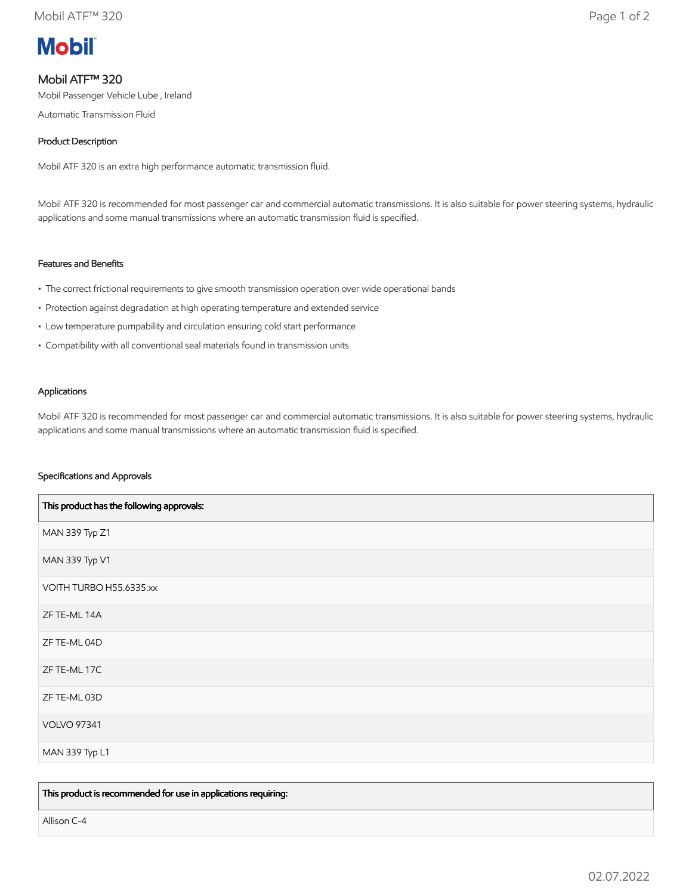# **Mobil**

# Mobil ATF™ 320

Mobil Passenger Vehicle Lube , Ireland

Automatic Transmission Fluid

## Product Description

Mobil ATF 320 is an extra high performance automatic transmission fluid.

Mobil ATF 320 is recommended for most passenger car and commercial automatic transmissions. It is also suitable for power steering systems, hydraulic applications and some manual transmissions where an automatic transmission fluid is specified.

### Features and Benefits

- The correct frictional requirements to give smooth transmission operation over wide operational bands
- Protection against degradation at high operating temperature and extended service
- Low temperature pumpability and circulation ensuring cold start performance
- Compatibility with all conventional seal materials found in transmission units

#### Applications

Mobil ATF 320 is recommended for most passenger car and commercial automatic transmissions. It is also suitable for power steering systems, hydraulic applications and some manual transmissions where an automatic transmission fluid is specified.

#### Specifications and Approvals

| This product has the following approvals: |
|-------------------------------------------|
| MAN 339 Typ Z1                            |
| MAN 339 Typ V1                            |
| VOITH TURBO H55.6335.xx                   |
| ZF TE-ML 14A                              |
| ZF TE-ML 04D                              |
| ZF TE-ML 17C                              |
| ZF TE-ML 03D                              |
| <b>VOLVO 97341</b>                        |
| MAN 339 Typ L1                            |

This product is recommended for use in applications requiring:

Allison C-4